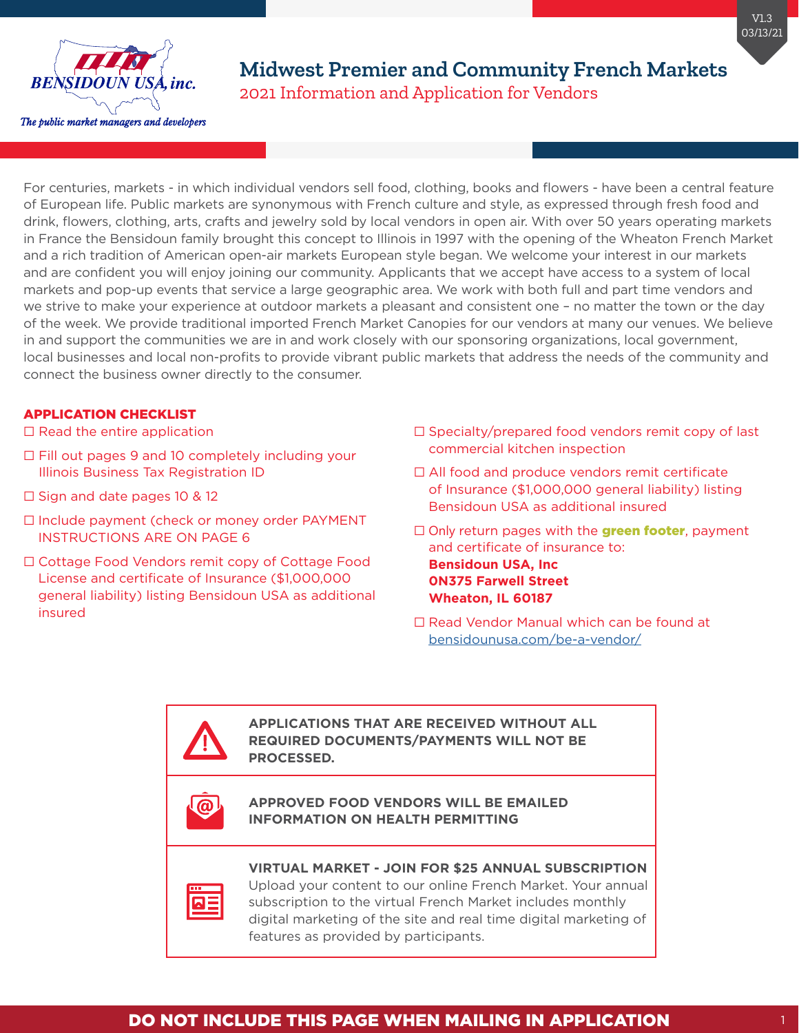

For centuries, markets - in which individual vendors sell food, clothing, books and flowers - have been a central feature of European life. Public markets are synonymous with French culture and style, as expressed through fresh food and drink, flowers, clothing, arts, crafts and jewelry sold by local vendors in open air. With over 50 years operating markets in France the Bensidoun family brought this concept to Illinois in 1997 with the opening of the Wheaton French Market and a rich tradition of American open-air markets European style began. We welcome your interest in our markets and are confident you will enjoy joining our community. Applicants that we accept have access to a system of local markets and pop-up events that service a large geographic area. We work with both full and part time vendors and we strive to make your experience at outdoor markets a pleasant and consistent one – no matter the town or the day of the week. We provide traditional imported French Market Canopies for our vendors at many our venues. We believe in and support the communities we are in and work closely with our sponsoring organizations, local government, local businesses and local non-profits to provide vibrant public markets that address the needs of the community and connect the business owner directly to the consumer.

### APPLICATION CHECKLIST

- □ Read the entire application
- $\Box$  Fill out pages 9 and 10 completely including your Illinois Business Tax Registration ID
- □ Sign and date pages 10 & 12
- ⬜ Include payment (check or money order PAYMENT INSTRUCTIONS ARE ON PAGE 6
- ⬜ Cottage Food Vendors remit copy of Cottage Food License and certificate of Insurance (\$1,000,000 general liability) listing Bensidoun USA as additional insured

A)

- $\Box$  Specialty/prepared food vendors remit copy of last commercial kitchen inspection
- □ All food and produce vendors remit certificate of Insurance (\$1,000,000 general liability) listing Bensidoun USA as additional insured
- $\Box$  Only return pages with the **green footer**, payment and certificate of insurance to: **Bensidoun USA, Inc 0N375 Farwell Street Wheaton, IL 60187**
- □ Read Vendor Manual which can be found at [bensidounusa.com/be-a-vendor/](https://bensidounusa.com/be-a-vendor/)

**APPLICATIONS THAT ARE RECEIVED WITHOUT ALL REQUIRED DOCUMENTS/PAYMENTS WILL NOT BE PROCESSED.**

#### **APPROVED FOOD VENDORS WILL BE EMAILED INFORMATION ON HEALTH PERMITTING**

### **VIRTUAL MARKET - JOIN FOR \$25 ANNUAL SUBSCRIPTION**

Upload your content to our online French Market. Your annual subscription to the virtual French Market includes monthly digital marketing of the site and real time digital marketing of features as provided by participants.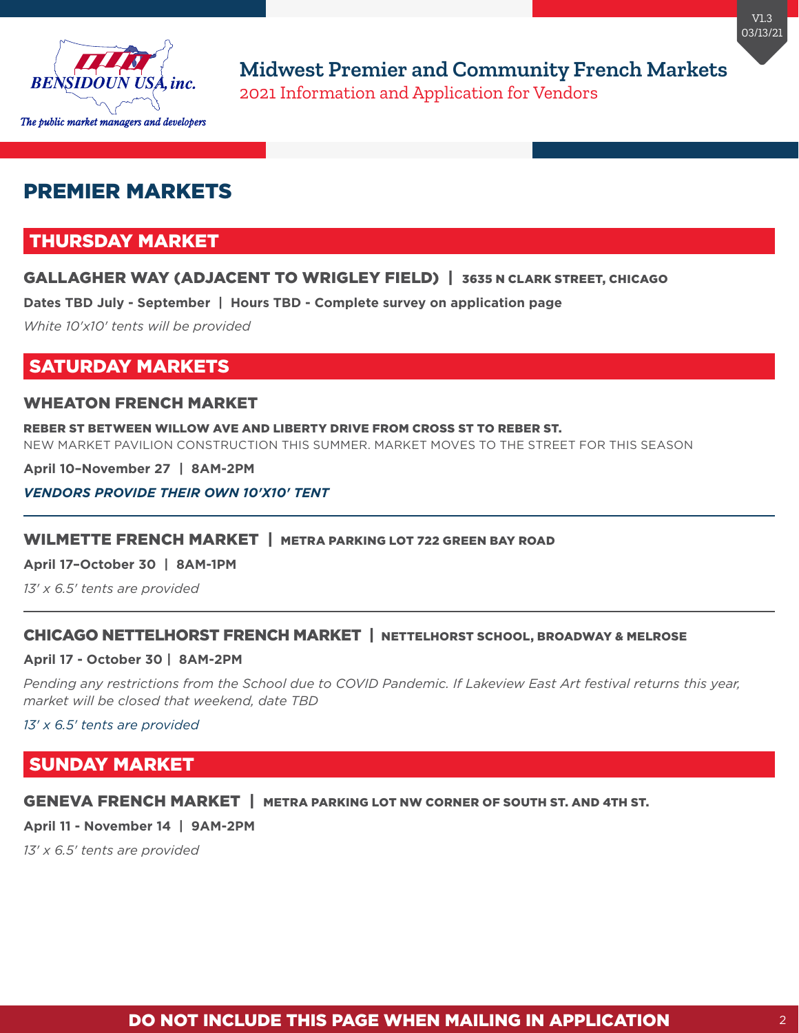

# PREMIER MARKETS

## THURSDAY MARKET

### GALLAGHER WAY (ADJACENT TO WRIGLEY FIELD) | 3635 N CLARK STREET, CHICAGO

**Dates TBD July - September | Hours TBD - Complete survey on application page**

*White 10'x10' tents will be provided*

## SATURDAY MARKETS

### WHEATON FRENCH MARKET

REBER ST BETWEEN WILLOW AVE AND LIBERTY DRIVE FROM CROSS ST TO REBER ST. NEW MARKET PAVILION CONSTRUCTION THIS SUMMER. MARKET MOVES TO THE STREET FOR THIS SEASON

**April 10–November 27 | 8AM-2PM**

#### *VENDORS PROVIDE THEIR OWN 10'X10' TENT*

#### WILMETTE FRENCH MARKET | METRA PARKING LOT 722 GREEN BAY ROAD

**April 17–October 30 | 8AM-1PM**

*13' x 6.5' tents are provided*

### CHICAGO NETTELHORST FRENCH MARKET | NETTELHORST SCHOOL, BROADWAY & MELROSE

#### **April 17 - October 30 | 8AM-2PM**

Pending any restrictions from the School due to COVID Pandemic. If Lakeview East Art festival returns this year, *market will be closed that weekend, date TBD*

*13' x 6.5' tents are provided*

## SUNDAY MARKET

#### GENEVA FRENCH MARKET | METRA PARKING LOT NW CORNER OF SOUTH ST. AND 4TH ST.

**April 11 - November 14 | 9AM-2PM**

*13' x 6.5' tents are provided*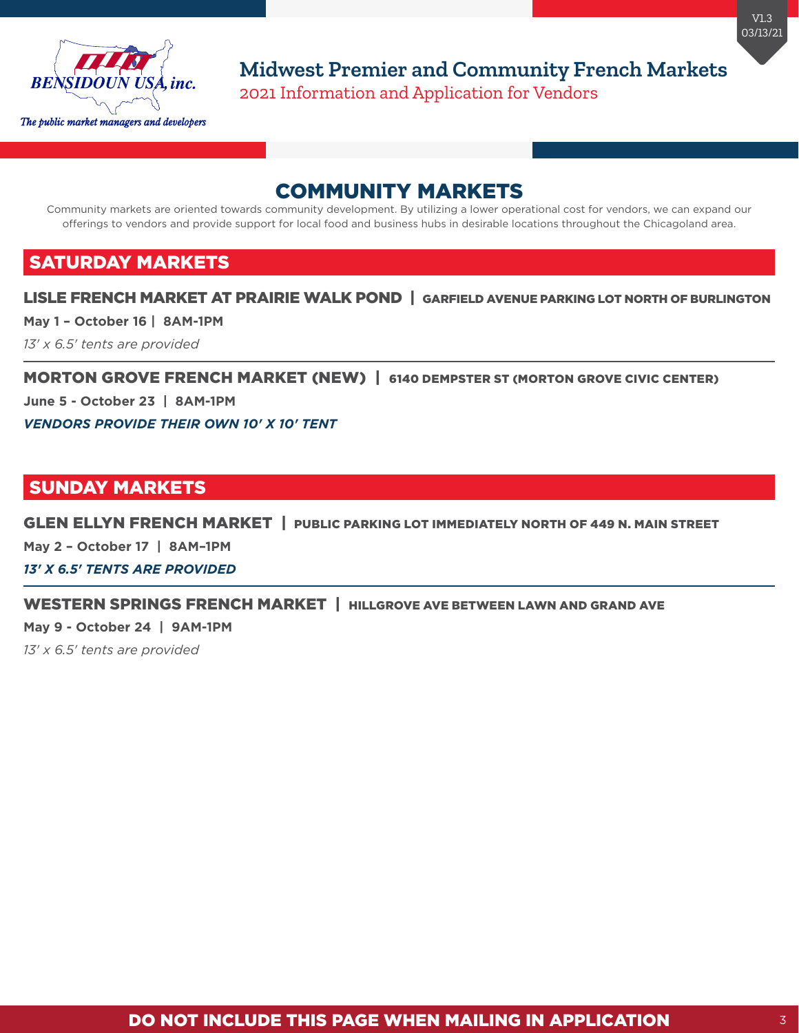

# COMMUNITY MARKETS

Community markets are oriented towards community development. By utilizing a lower operational cost for vendors, we can expand our offerings to vendors and provide support for local food and business hubs in desirable locations throughout the Chicagoland area.

# SATURDAY MARKETS

### LISLE FRENCH MARKET AT PRAIRIE WALK POND | GARFIELD AVENUE PARKING LOT NORTH OF BURLINGTON

**May 1 – October 16 | 8AM-1PM** 

*13' x 6.5' tents are provided*

MORTON GROVE FRENCH MARKET (NEW) | 6140 DEMPSTER ST (MORTON GROVE CIVIC CENTER)

**June 5 - October 23 | 8AM-1PM**

*VENDORS PROVIDE THEIR OWN 10' X 10' TENT*

## SUNDAY MARKETS

GLEN ELLYN FRENCH MARKET | PUBLIC PARKING LOT IMMEDIATELY NORTH OF 449 N. MAIN STREET

**May 2 – October 17 | 8AM–1PM**

*13' X 6.5' TENTS ARE PROVIDED*

### WESTERN SPRINGS FRENCH MARKET | HILLGROVE AVE BETWEEN LAWN AND GRAND AVE

**May 9 - October 24 | 9AM-1PM**

*13' x 6.5' tents are provided*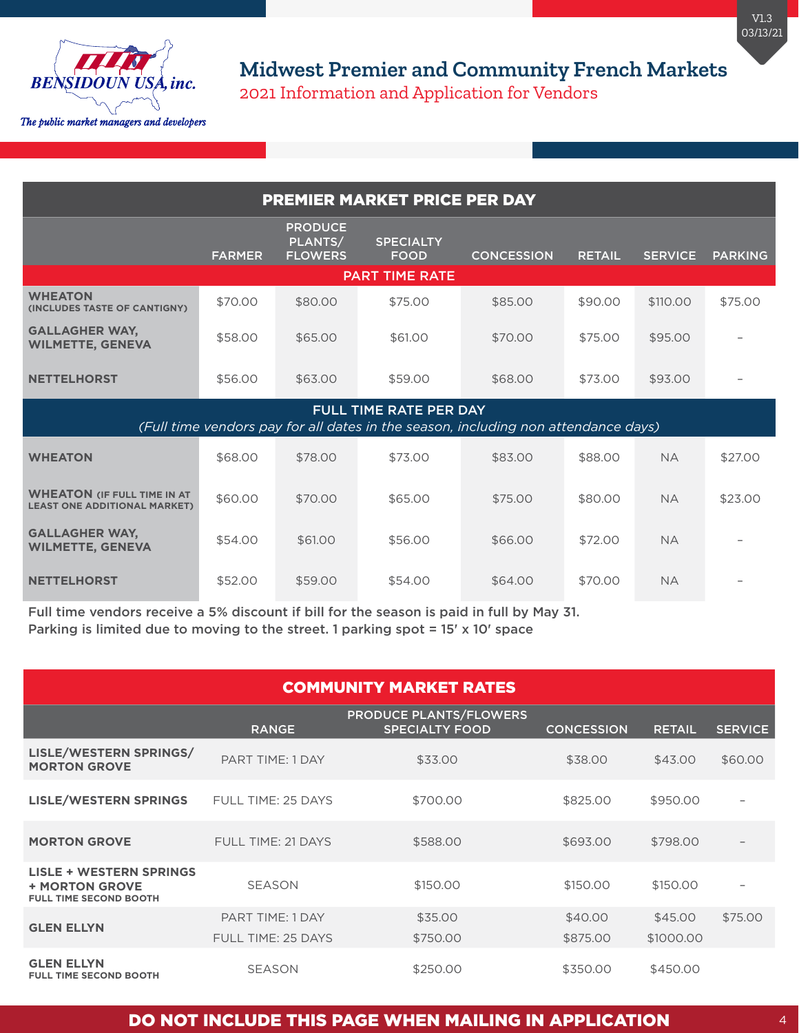

| <b>PREMIER MARKET PRICE PER DAY</b>                                                                          |               |                                             |                                 |                   |               |                |                |  |
|--------------------------------------------------------------------------------------------------------------|---------------|---------------------------------------------|---------------------------------|-------------------|---------------|----------------|----------------|--|
|                                                                                                              | <b>FARMER</b> | <b>PRODUCE</b><br>PLANTS/<br><b>FLOWERS</b> | <b>SPECIALTY</b><br><b>FOOD</b> | <b>CONCESSION</b> | <b>RETAIL</b> | <b>SERVICE</b> | <b>PARKING</b> |  |
|                                                                                                              |               |                                             | <b>PART TIME RATE</b>           |                   |               |                |                |  |
| <b>WHEATON</b><br>(INCLUDES TASTE OF CANTIGNY)                                                               | \$70.00       | \$80.00                                     | \$75.00                         | \$85.00           | \$90.00       | \$110,00       | \$75.00        |  |
| <b>GALLAGHER WAY,</b><br><b>WILMETTE, GENEVA</b>                                                             | \$58,00       | \$65,00                                     | \$61,00                         | \$70.00           | \$75,00       | \$95,00        |                |  |
| <b>NETTELHORST</b>                                                                                           | \$56,00       | \$63.00                                     | \$59,00                         | \$68,00           | \$73.00       | \$93.00        |                |  |
| FULL TIME RATE PER DAY<br>(Full time vendors pay for all dates in the season, including non attendance days) |               |                                             |                                 |                   |               |                |                |  |
| <b>WHEATON</b>                                                                                               | \$68,00       | \$78,00                                     | \$73.00                         | \$83,00           | \$88,00       | <b>NA</b>      | \$27.00        |  |
| <b>WHEATON (IF FULL TIME IN AT</b><br><b>LEAST ONE ADDITIONAL MARKET)</b>                                    | \$60.00       | \$70.00                                     | \$65,00                         | \$75.00           | \$80.00       | <b>NA</b>      | \$23.00        |  |
| <b>GALLAGHER WAY,</b><br><b>WILMETTE, GENEVA</b>                                                             | \$54.00       | \$61,00                                     | \$56.00                         | \$66.00           | \$72.00       | <b>NA</b>      |                |  |
| <b>NETTELHORST</b>                                                                                           | \$52.00       | \$59.00                                     | \$54.00                         | \$64.00           | \$70.00       | <b>NA</b>      |                |  |

Full time vendors receive a 5% discount if bill for the season is paid in full by May 31. Parking is limited due to moving to the street. 1 parking spot = 15' x 10' space

| <b>COMMUNITY MARKET RATES</b>                                                            |                         |                                                        |                   |               |                |  |  |
|------------------------------------------------------------------------------------------|-------------------------|--------------------------------------------------------|-------------------|---------------|----------------|--|--|
|                                                                                          | <b>RANGE</b>            | <b>PRODUCE PLANTS/FLOWERS</b><br><b>SPECIALTY FOOD</b> | <b>CONCESSION</b> | <b>RETAIL</b> | <b>SERVICE</b> |  |  |
| LISLE/WESTERN SPRINGS/<br><b>MORTON GROVE</b>                                            | PART TIME: 1 DAY        | \$33.00                                                | \$38.00           | \$43.00       | \$60.00        |  |  |
| <b>LISLE/WESTERN SPRINGS</b>                                                             | FULL TIME: 25 DAYS      | \$700.00                                               | \$825.00          | \$950.00      |                |  |  |
| <b>MORTON GROVE</b>                                                                      | FULL TIME: 21 DAYS      | \$588,00                                               | \$693.00          | \$798,00      |                |  |  |
| <b>LISLE + WESTERN SPRINGS</b><br><b>+ MORTON GROVE</b><br><b>FULL TIME SECOND BOOTH</b> | <b>SEASON</b>           | \$150,00                                               | \$150.00          | \$150,00      |                |  |  |
|                                                                                          | <b>PART TIME: 1 DAY</b> | \$35,00                                                | \$40.00           | \$45.00       | \$75,00        |  |  |
| <b>GLEN ELLYN</b>                                                                        | FULL TIME: 25 DAYS      | \$750.00                                               | \$875.00          | \$1000.00     |                |  |  |
| <b>GLEN ELLYN</b><br><b>FULL TIME SECOND BOOTH</b>                                       | <b>SEASON</b>           | \$250,00                                               | \$350.00          | \$450.00      |                |  |  |

## DO NOT INCLUDE THIS PAGE WHEN MAILING IN APPLICATION 4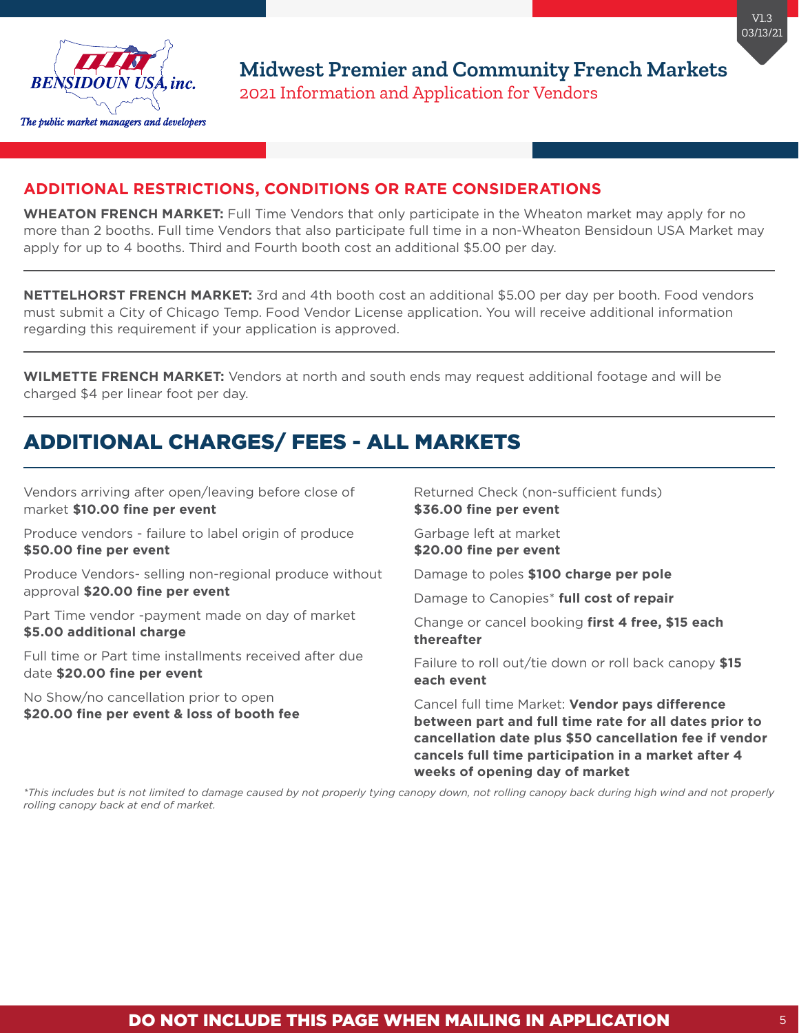

### **ADDITIONAL RESTRICTIONS, CONDITIONS OR RATE CONSIDERATIONS**

**WHEATON FRENCH MARKET:** Full Time Vendors that only participate in the Wheaton market may apply for no more than 2 booths. Full time Vendors that also participate full time in a non-Wheaton Bensidoun USA Market may apply for up to 4 booths. Third and Fourth booth cost an additional \$5.00 per day.

**NETTELHORST FRENCH MARKET:** 3rd and 4th booth cost an additional \$5.00 per day per booth. Food vendors must submit a City of Chicago Temp. Food Vendor License application. You will receive additional information regarding this requirement if your application is approved.

**WILMETTE FRENCH MARKET:** Vendors at north and south ends may request additional footage and will be charged \$4 per linear foot per day.

# ADDITIONAL CHARGES/ FEES - ALL MARKETS

Vendors arriving after open/leaving before close of market **\$10.00 fine per event**

Produce vendors - failure to label origin of produce **\$50.00 fine per event**

Produce Vendors- selling non-regional produce without approval **\$20.00 fine per event**

Part Time vendor -payment made on day of market **\$5.00 additional charge**

Full time or Part time installments received after due date **\$20.00 fine per event** 

No Show/no cancellation prior to open **\$20.00 fine per event & loss of booth fee** Returned Check (non-sufficient funds) **\$36.00 fine per event**

Garbage left at market **\$20.00 fine per event** 

Damage to poles **\$100 charge per pole** 

Damage to Canopies\* **full cost of repair** 

Change or cancel booking **first 4 free, \$15 each thereafter**

Failure to roll out/tie down or roll back canopy **\$15 each event**

Cancel full time Market: **Vendor pays difference between part and full time rate for all dates prior to cancellation date plus \$50 cancellation fee if vendor cancels full time participation in a market after 4 weeks of opening day of market**

*\*This includes but is not limited to damage caused by not properly tying canopy down, not rolling canopy back during high wind and not properly rolling canopy back at end of market.*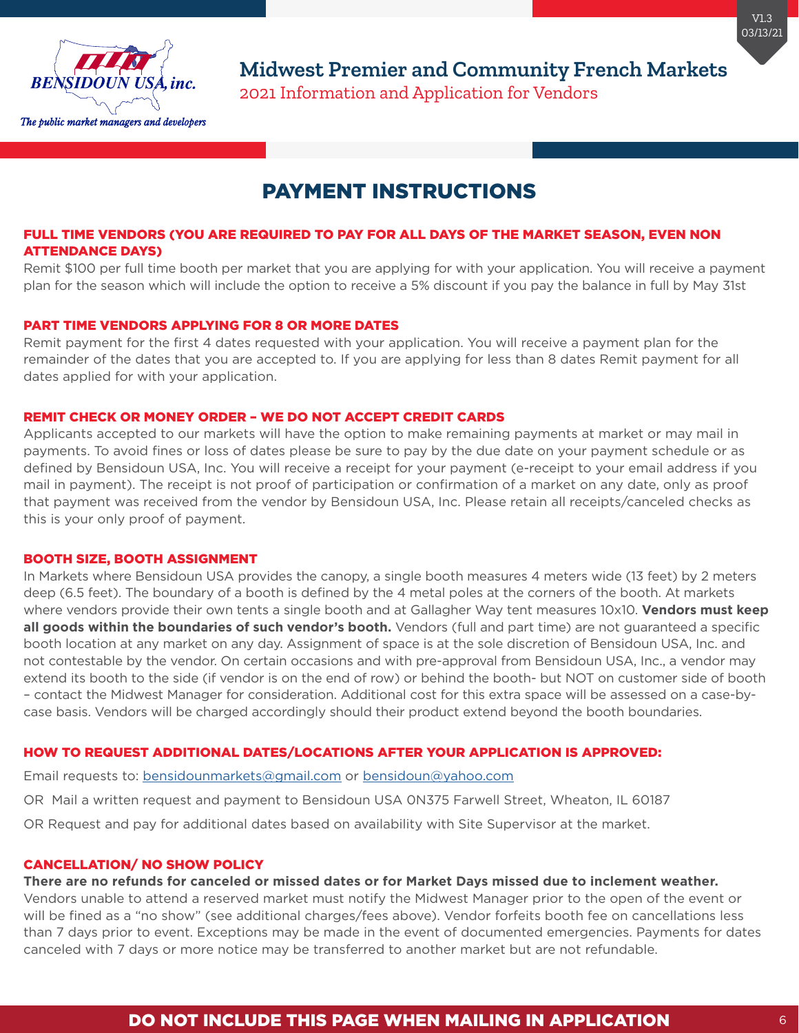

# PAYMENT INSTRUCTIONS

#### FULL TIME VENDORS (YOU ARE REQUIRED TO PAY FOR ALL DAYS OF THE MARKET SEASON, EVEN NON ATTENDANCE DAYS)

Remit \$100 per full time booth per market that you are applying for with your application. You will receive a payment plan for the season which will include the option to receive a 5% discount if you pay the balance in full by May 31st

### PART TIME VENDORS APPLYING FOR 8 OR MORE DATES

Remit payment for the first 4 dates requested with your application. You will receive a payment plan for the remainder of the dates that you are accepted to. If you are applying for less than 8 dates Remit payment for all dates applied for with your application.

#### REMIT CHECK OR MONEY ORDER – WE DO NOT ACCEPT CREDIT CARDS

Applicants accepted to our markets will have the option to make remaining payments at market or may mail in payments. To avoid fines or loss of dates please be sure to pay by the due date on your payment schedule or as defined by Bensidoun USA, Inc. You will receive a receipt for your payment (e-receipt to your email address if you mail in payment). The receipt is not proof of participation or confirmation of a market on any date, only as proof that payment was received from the vendor by Bensidoun USA, Inc. Please retain all receipts/canceled checks as this is your only proof of payment.

#### BOOTH SIZE, BOOTH ASSIGNMENT

In Markets where Bensidoun USA provides the canopy, a single booth measures 4 meters wide (13 feet) by 2 meters deep (6.5 feet). The boundary of a booth is defined by the 4 metal poles at the corners of the booth. At markets where vendors provide their own tents a single booth and at Gallagher Way tent measures 10x10. **Vendors must keep all goods within the boundaries of such vendor's booth.** Vendors (full and part time) are not guaranteed a specific booth location at any market on any day. Assignment of space is at the sole discretion of Bensidoun USA, Inc. and not contestable by the vendor. On certain occasions and with pre-approval from Bensidoun USA, Inc., a vendor may extend its booth to the side (if vendor is on the end of row) or behind the booth- but NOT on customer side of booth – contact the Midwest Manager for consideration. Additional cost for this extra space will be assessed on a case-bycase basis. Vendors will be charged accordingly should their product extend beyond the booth boundaries.

#### HOW TO REQUEST ADDITIONAL DATES/LOCATIONS AFTER YOUR APPLICATION IS APPROVED:

Email requests to: [bensidounmarkets@gmail.com](mailto:%20bensidounmarkets%40gmail.com?subject=) or [bensidoun@yahoo.com](mailto:bensidoun@yahoo.com)

OR Mail a written request and payment to Bensidoun USA 0N375 Farwell Street, Wheaton, IL 60187

OR Request and pay for additional dates based on availability with Site Supervisor at the market.

#### CANCELLATION/ NO SHOW POLICY

**There are no refunds for canceled or missed dates or for Market Days missed due to inclement weather.**

Vendors unable to attend a reserved market must notify the Midwest Manager prior to the open of the event or will be fined as a "no show" (see additional charges/fees above). Vendor forfeits booth fee on cancellations less than 7 days prior to event. Exceptions may be made in the event of documented emergencies. Payments for dates canceled with 7 days or more notice may be transferred to another market but are not refundable.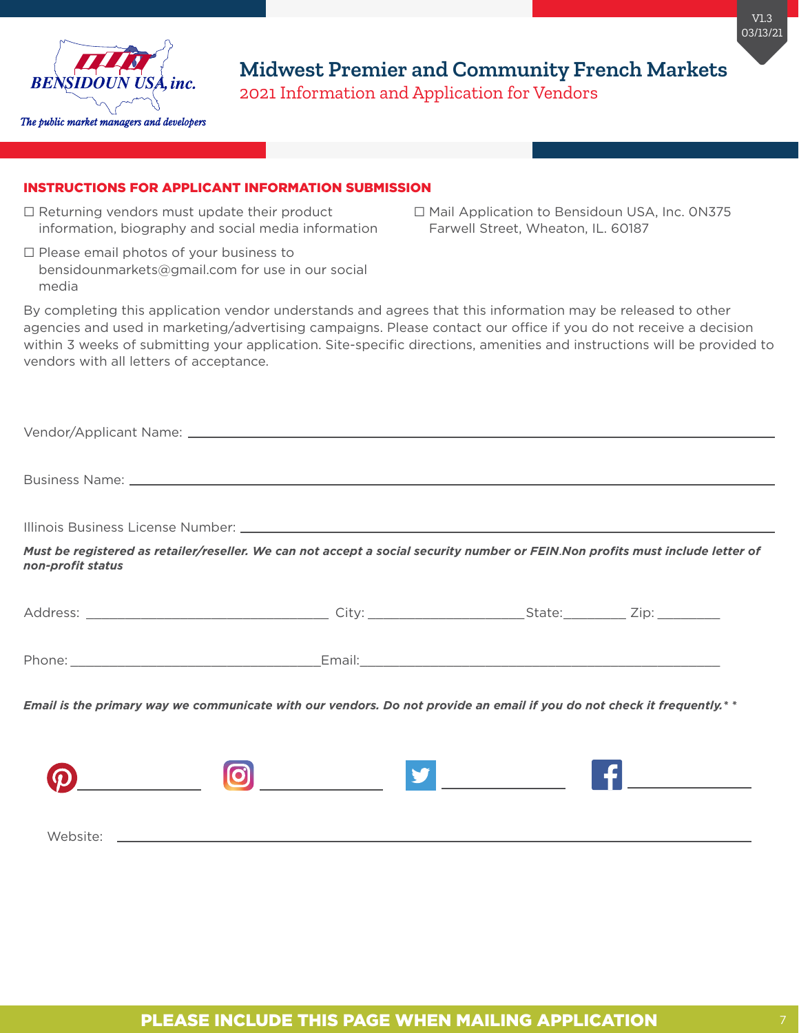

#### INSTRUCTIONS FOR APPLICANT INFORMATION SUBMISSION

- $\Box$  Returning vendors must update their product information, biography and social media information
- □ Please email photos of your business to bensidounmarkets@gmail.com for use in our social media

⬜ Mail Application to Bensidoun USA, Inc. 0N375 Farwell Street, Wheaton, IL. 60187

By completing this application vendor understands and agrees that this information may be released to other agencies and used in marketing/advertising campaigns. Please contact our office if you do not receive a decision within 3 weeks of submitting your application. Site-specific directions, amenities and instructions will be provided to vendors with all letters of acceptance.

|                   | Business Name: Name: 2008 - 2008 - 2008 - 2008 - 2019 - 2019 - 2019 - 2019 - 2019 - 2019 - 2019 - 2019 - 2019                  |  |
|-------------------|--------------------------------------------------------------------------------------------------------------------------------|--|
|                   |                                                                                                                                |  |
| non-profit status | Must be registered as retailer/reseller. We can not accept a social security number or FEIN.Non profits must include letter of |  |
|                   |                                                                                                                                |  |
|                   |                                                                                                                                |  |
|                   | Email is the primary way we communicate with our vendors. Do not provide an email if you do not check it frequently.**         |  |
|                   |                                                                                                                                |  |
|                   |                                                                                                                                |  |

Website: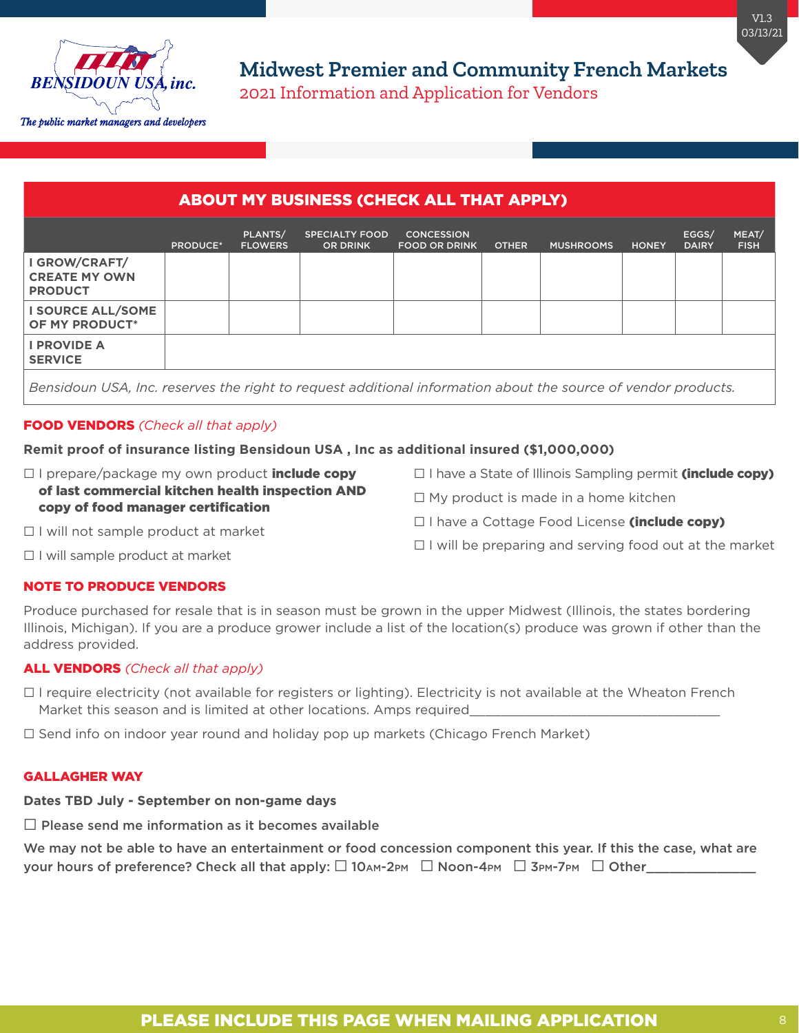

## ABOUT MY BUSINESS (CHECK ALL THAT APPLY)

|                                                         | PRODUCE* | PLANTS/<br><b>FLOWERS</b>                                                                                       | <b>SPECIALTY FOOD</b><br><b>OR DRINK</b> | <b>CONCESSION</b><br><b>FOOD OR DRINK</b>                       | <b>OTHER</b> | <b>MUSHROOMS</b> | <b>HONEY</b> | EGGS/<br><b>DAIRY</b> | MEAT/<br><b>FISH</b> |
|---------------------------------------------------------|----------|-----------------------------------------------------------------------------------------------------------------|------------------------------------------|-----------------------------------------------------------------|--------------|------------------|--------------|-----------------------|----------------------|
| I GROW/CRAFT/<br><b>CREATE MY OWN</b><br><b>PRODUCT</b> |          |                                                                                                                 |                                          |                                                                 |              |                  |              |                       |                      |
| I SOURCE ALL/SOME<br>OF MY PRODUCT*                     |          |                                                                                                                 |                                          |                                                                 |              |                  |              |                       |                      |
| <b>I PROVIDE A</b><br><b>SERVICE</b>                    |          |                                                                                                                 |                                          |                                                                 |              |                  |              |                       |                      |
|                                                         |          | the contract of the contract of the contract of the contract of the contract of the contract of the contract of |                                          | しゅうしゅう こうしゅう こうしゅう こうしゅう こうしゅう こうしゅう こうしゅう こうしゅう こうしゅう こうしゅうしょう |              |                  |              |                       |                      |

*Bensidoun USA, Inc. reserves the right to request additional information about the source of vendor products.*

### FOOD VENDORS *(Check all that apply)*

### **Remit proof of insurance listing Bensidoun USA , Inc as additional insured (\$1,000,000)**

- $\Box$  I prepare/package my own product **include copy** of last commercial kitchen health inspection AND copy of food manager certification
- □ I have a State of Illinois Sampling permit (include copy)
- $\Box$  My product is made in a home kitchen
- □ I have a Cottage Food License (include copy)

□ I will not sample product at market

 $\Box$  I will be preparing and serving food out at the market

□ I will sample product at market

### NOTE TO PRODUCE VENDORS

Produce purchased for resale that is in season must be grown in the upper Midwest (Illinois, the states bordering Illinois, Michigan). If you are a produce grower include a list of the location(s) produce was grown if other than the address provided.

### ALL VENDORS *(Check all that apply)*

⬜ I require electricity (not available for registers or lighting). Electricity is not available at the Wheaton French Market this season and is limited at other locations. Amps required

 $\Box$  Send info on indoor year round and holiday pop up markets (Chicago French Market)

#### GALLAGHER WAY

#### **Dates TBD July - September on non-game days**

 $\Box$  Please send me information as it becomes available

We may not be able to have an entertainment or food concession component this year. If this the case, what are your hours of preference? Check all that apply:  $\Box$  10AM-2PM  $\Box$  Noon-4PM  $\Box$  3PM-7PM  $\Box$  Other\_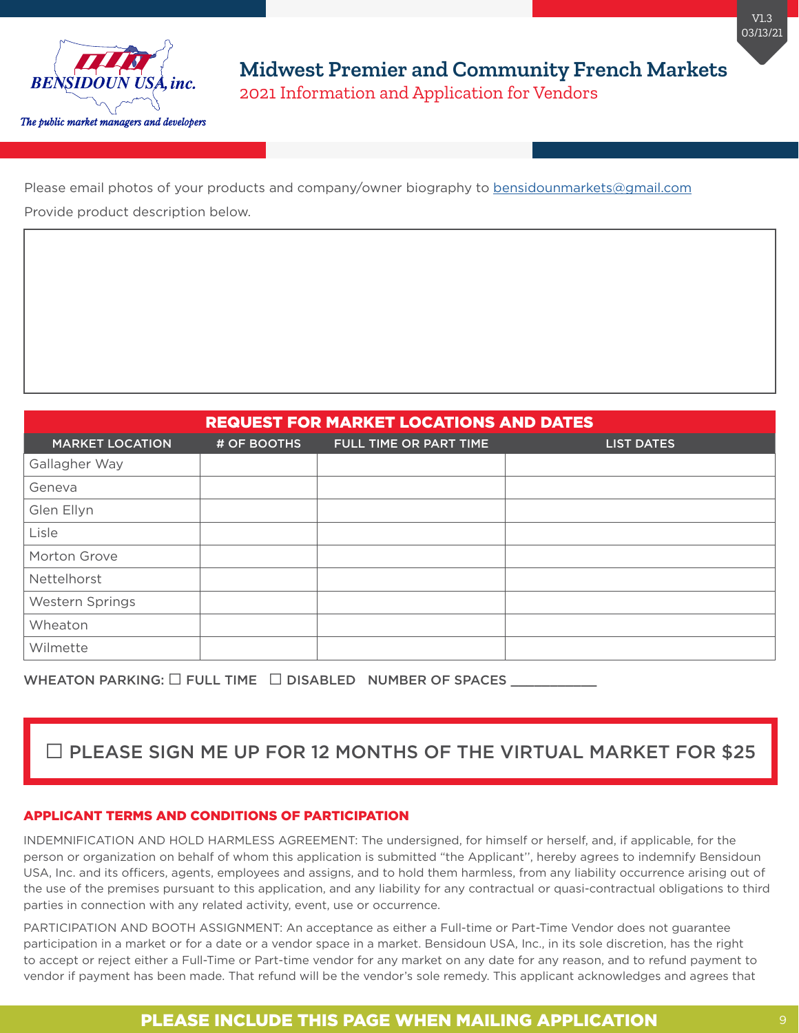

Please email photos of your products and company/owner biography to [bensidounmarkets@gmail.com](mailto:bensidounmarkets@gmail.com
) Provide product description below.

| <b>REQUEST FOR MARKET LOCATIONS AND DATES</b> |             |                        |                   |  |  |  |
|-----------------------------------------------|-------------|------------------------|-------------------|--|--|--|
| <b>MARKET LOCATION</b>                        | # OF BOOTHS | FULL TIME OR PART TIME | <b>LIST DATES</b> |  |  |  |
| Gallagher Way                                 |             |                        |                   |  |  |  |
| Geneva                                        |             |                        |                   |  |  |  |
| Glen Ellyn                                    |             |                        |                   |  |  |  |
| Lisle                                         |             |                        |                   |  |  |  |
| Morton Grove                                  |             |                        |                   |  |  |  |
| Nettelhorst                                   |             |                        |                   |  |  |  |
| Western Springs                               |             |                        |                   |  |  |  |
| Wheaton                                       |             |                        |                   |  |  |  |
| Wilmette                                      |             |                        |                   |  |  |  |

WHEATON PARKING:  $\square$  FULL TIME  $\square$  DISABLED NUMBER OF SPACES  $\_$ 

# ⬜ PLEASE SIGN ME UP FOR 12 MONTHS OF THE VIRTUAL MARKET FOR \$25

#### APPLICANT TERMS AND CONDITIONS OF PARTICIPATION

INDEMNIFICATION AND HOLD HARMLESS AGREEMENT: The undersigned, for himself or herself, and, if applicable, for the person or organization on behalf of whom this application is submitted "the Applicant'', hereby agrees to indemnify Bensidoun USA, Inc. and its officers, agents, employees and assigns, and to hold them harmless, from any liability occurrence arising out of the use of the premises pursuant to this application, and any liability for any contractual or quasi-contractual obligations to third parties in connection with any related activity, event, use or occurrence.

PARTICIPATION AND BOOTH ASSIGNMENT: An acceptance as either a Full-time or Part-Time Vendor does not guarantee participation in a market or for a date or a vendor space in a market. Bensidoun USA, Inc., in its sole discretion, has the right to accept or reject either a Full-Time or Part-time vendor for any market on any date for any reason, and to refund payment to vendor if payment has been made. That refund will be the vendor's sole remedy. This applicant acknowledges and agrees that

## PLEASE INCLUDE THIS PAGE WHEN MAILING APPLICATION **9**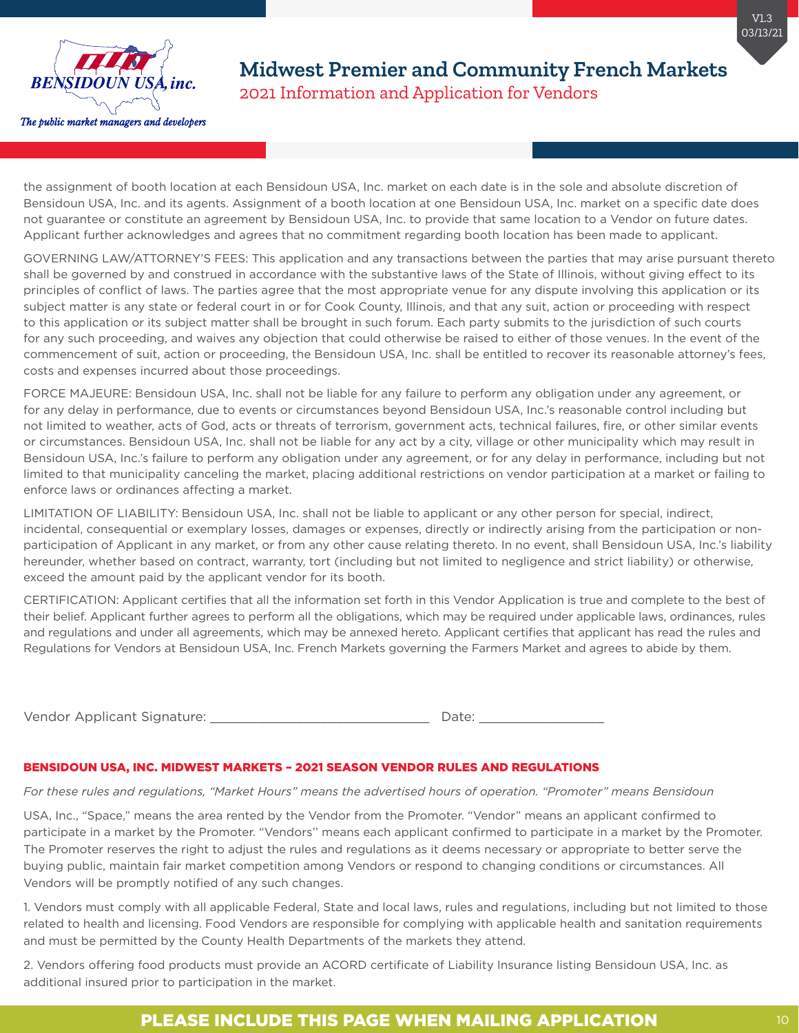

the assignment of booth location at each Bensidoun USA, Inc. market on each date is in the sole and absolute discretion of Bensidoun USA, Inc. and its agents. Assignment of a booth location at one Bensidoun USA, Inc. market on a specific date does not guarantee or constitute an agreement by Bensidoun USA, Inc. to provide that same location to a Vendor on future dates. Applicant further acknowledges and agrees that no commitment regarding booth location has been made to applicant.

GOVERNING LAW/ATTORNEY'S FEES: This application and any transactions between the parties that may arise pursuant thereto shall be governed by and construed in accordance with the substantive laws of the State of Illinois, without giving effect to its principles of conflict of laws. The parties agree that the most appropriate venue for any dispute involving this application or its subject matter is any state or federal court in or for Cook County, Illinois, and that any suit, action or proceeding with respect to this application or its subject matter shall be brought in such forum. Each party submits to the jurisdiction of such courts for any such proceeding, and waives any objection that could otherwise be raised to either of those venues. In the event of the commencement of suit, action or proceeding, the Bensidoun USA, Inc. shall be entitled to recover its reasonable attorney's fees, costs and expenses incurred about those proceedings.

FORCE MAJEURE: Bensidoun USA, Inc. shall not be liable for any failure to perform any obligation under any agreement, or for any delay in performance, due to events or circumstances beyond Bensidoun USA, Inc.'s reasonable control including but not limited to weather, acts of God, acts or threats of terrorism, government acts, technical failures, fire, or other similar events or circumstances. Bensidoun USA, Inc. shall not be liable for any act by a city, village or other municipality which may result in Bensidoun USA, Inc.'s failure to perform any obligation under any agreement, or for any delay in performance, including but not limited to that municipality canceling the market, placing additional restrictions on vendor participation at a market or failing to enforce laws or ordinances affecting a market.

LIMITATION OF LIABILITY: Bensidoun USA, Inc. shall not be liable to applicant or any other person for special, indirect, incidental, consequential or exemplary losses, damages or expenses, directly or indirectly arising from the participation or nonparticipation of Applicant in any market, or from any other cause relating thereto. In no event, shall Bensidoun USA, Inc.'s liability hereunder, whether based on contract, warranty, tort (including but not limited to negligence and strict liability) or otherwise, exceed the amount paid by the applicant vendor for its booth.

CERTIFICATION: Applicant certifies that all the information set forth in this Vendor Application is true and complete to the best of their belief. Applicant further agrees to perform all the obligations, which may be required under applicable laws, ordinances, rules and regulations and under all agreements, which may be annexed hereto. Applicant certifies that applicant has read the rules and Regulations for Vendors at Bensidoun USA, Inc. French Markets governing the Farmers Market and agrees to abide by them.

Vendor Applicant Signature: \_\_\_\_\_\_\_\_\_\_\_\_\_\_\_\_\_\_\_\_\_\_\_\_\_\_\_\_ Date: \_\_\_\_\_\_\_\_\_\_\_\_\_\_\_\_

#### BENSIDOUN USA, INC. MIDWEST MARKETS – 2021 SEASON VENDOR RULES AND REGULATIONS

*For these rules and regulations, "Market Hours" means the advertised hours of operation. "Promoter" means Bensidoun* 

USA, Inc., "Space," means the area rented by the Vendor from the Promoter. "Vendor" means an applicant confirmed to participate in a market by the Promoter. "Vendors'' means each applicant confirmed to participate in a market by the Promoter. The Promoter reserves the right to adjust the rules and regulations as it deems necessary or appropriate to better serve the buying public, maintain fair market competition among Vendors or respond to changing conditions or circumstances. All Vendors will be promptly notified of any such changes.

1. Vendors must comply with all applicable Federal, State and local laws, rules and regulations, including but not limited to those related to health and licensing. Food Vendors are responsible for complying with applicable health and sanitation requirements and must be permitted by the County Health Departments of the markets they attend.

2. Vendors offering food products must provide an ACORD certificate of Liability Insurance listing Bensidoun USA, Inc. as additional insured prior to participation in the market.

## PLEASE INCLUDE THIS PAGE WHEN MAILING APPLICATION **10** 10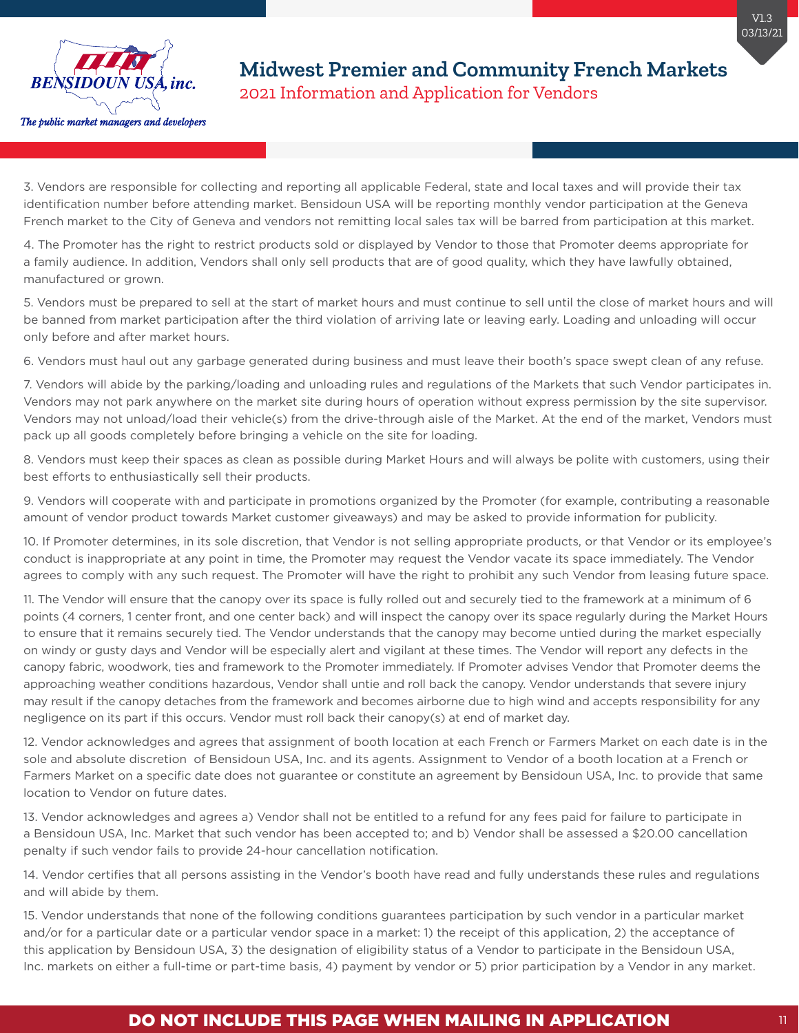

3. Vendors are responsible for collecting and reporting all applicable Federal, state and local taxes and will provide their tax identification number before attending market. Bensidoun USA will be reporting monthly vendor participation at the Geneva French market to the City of Geneva and vendors not remitting local sales tax will be barred from participation at this market.

4. The Promoter has the right to restrict products sold or displayed by Vendor to those that Promoter deems appropriate for a family audience. In addition, Vendors shall only sell products that are of good quality, which they have lawfully obtained, manufactured or grown.

5. Vendors must be prepared to sell at the start of market hours and must continue to sell until the close of market hours and will be banned from market participation after the third violation of arriving late or leaving early. Loading and unloading will occur only before and after market hours.

6. Vendors must haul out any garbage generated during business and must leave their booth's space swept clean of any refuse.

7. Vendors will abide by the parking/loading and unloading rules and regulations of the Markets that such Vendor participates in. Vendors may not park anywhere on the market site during hours of operation without express permission by the site supervisor. Vendors may not unload/load their vehicle(s) from the drive-through aisle of the Market. At the end of the market, Vendors must pack up all goods completely before bringing a vehicle on the site for loading.

8. Vendors must keep their spaces as clean as possible during Market Hours and will always be polite with customers, using their best efforts to enthusiastically sell their products.

9. Vendors will cooperate with and participate in promotions organized by the Promoter (for example, contributing a reasonable amount of vendor product towards Market customer giveaways) and may be asked to provide information for publicity.

10. If Promoter determines, in its sole discretion, that Vendor is not selling appropriate products, or that Vendor or its employee's conduct is inappropriate at any point in time, the Promoter may request the Vendor vacate its space immediately. The Vendor agrees to comply with any such request. The Promoter will have the right to prohibit any such Vendor from leasing future space.

11. The Vendor will ensure that the canopy over its space is fully rolled out and securely tied to the framework at a minimum of 6 points (4 corners, 1 center front, and one center back) and will inspect the canopy over its space regularly during the Market Hours to ensure that it remains securely tied. The Vendor understands that the canopy may become untied during the market especially on windy or gusty days and Vendor will be especially alert and vigilant at these times. The Vendor will report any defects in the canopy fabric, woodwork, ties and framework to the Promoter immediately. If Promoter advises Vendor that Promoter deems the approaching weather conditions hazardous, Vendor shall untie and roll back the canopy. Vendor understands that severe injury may result if the canopy detaches from the framework and becomes airborne due to high wind and accepts responsibility for any negligence on its part if this occurs. Vendor must roll back their canopy(s) at end of market day.

12. Vendor acknowledges and agrees that assignment of booth location at each French or Farmers Market on each date is in the sole and absolute discretion of Bensidoun USA, Inc. and its agents. Assignment to Vendor of a booth location at a French or Farmers Market on a specific date does not guarantee or constitute an agreement by Bensidoun USA, Inc. to provide that same location to Vendor on future dates.

13. Vendor acknowledges and agrees a) Vendor shall not be entitled to a refund for any fees paid for failure to participate in a Bensidoun USA, Inc. Market that such vendor has been accepted to; and b) Vendor shall be assessed a \$20.00 cancellation penalty if such vendor fails to provide 24-hour cancellation notification.

14. Vendor certifies that all persons assisting in the Vendor's booth have read and fully understands these rules and regulations and will abide by them.

15. Vendor understands that none of the following conditions guarantees participation by such vendor in a particular market and/or for a particular date or a particular vendor space in a market: 1) the receipt of this application, 2) the acceptance of this application by Bensidoun USA, 3) the designation of eligibility status of a Vendor to participate in the Bensidoun USA, Inc. markets on either a full-time or part-time basis, 4) payment by vendor or 5) prior participation by a Vendor in any market.

## DO NOT INCLUDE THIS PAGE WHEN MAILING IN APPLICATION THE REAL PROPERTY ASSESSED.